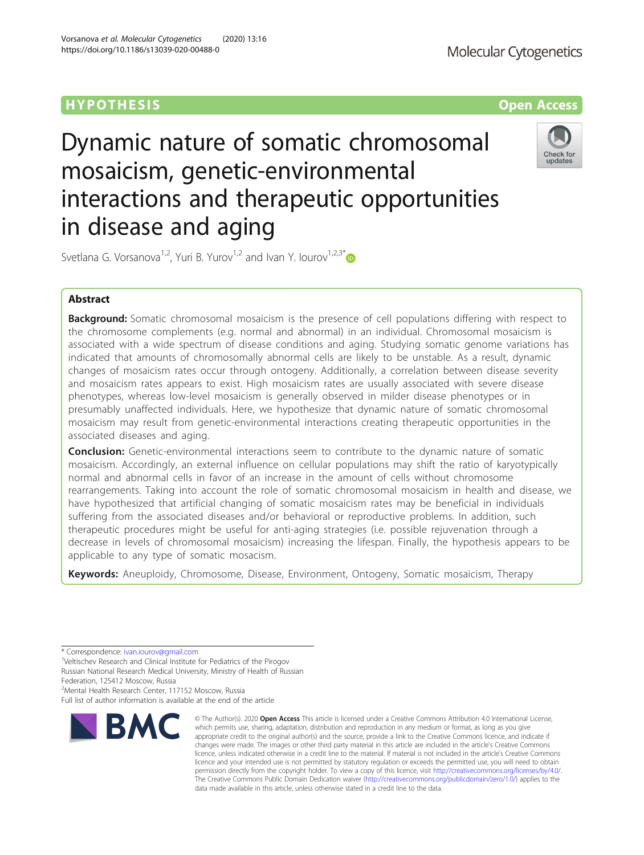Vorsanova et al. Molecular Cytogenetics (2020) 13:16

https://doi.org/10.1186/s13039-020-00488-0

# Dynamic nature of somatic chromosomal mosaicism, genetic-environmental interactions and therapeutic opportunities in disease and aging



Svetlana G. Vorsanova<sup>1,2</sup>, Yuri B. Yurov<sup>1,2</sup> and Ivan Y. Iourov<sup>1,2,3[\\*](http://orcid.org/0000-0002-4134-8367)</sup>

## **Abstract**

**Background:** Somatic chromosomal mosaicism is the presence of cell populations differing with respect to the chromosome complements (e.g. normal and abnormal) in an individual. Chromosomal mosaicism is associated with a wide spectrum of disease conditions and aging. Studying somatic genome variations has indicated that amounts of chromosomally abnormal cells are likely to be unstable. As a result, dynamic changes of mosaicism rates occur through ontogeny. Additionally, a correlation between disease severity and mosaicism rates appears to exist. High mosaicism rates are usually associated with severe disease phenotypes, whereas low-level mosaicism is generally observed in milder disease phenotypes or in presumably unaffected individuals. Here, we hypothesize that dynamic nature of somatic chromosomal mosaicism may result from genetic-environmental interactions creating therapeutic opportunities in the associated diseases and aging.

**Conclusion:** Genetic-environmental interactions seem to contribute to the dynamic nature of somatic mosaicism. Accordingly, an external influence on cellular populations may shift the ratio of karyotypically normal and abnormal cells in favor of an increase in the amount of cells without chromosome rearrangements. Taking into account the role of somatic chromosomal mosaicism in health and disease, we have hypothesized that artificial changing of somatic mosaicism rates may be beneficial in individuals suffering from the associated diseases and/or behavioral or reproductive problems. In addition, such therapeutic procedures might be useful for anti-aging strategies (i.e. possible rejuvenation through a decrease in levels of chromosomal mosaicism) increasing the lifespan. Finally, the hypothesis appears to be applicable to any type of somatic mosacism.

Keywords: Aneuploidy, Chromosome, Disease, Environment, Ontogeny, Somatic mosaicism, Therapy

\* Correspondence: [ivan.iourov@gmail.com](mailto:ivan.iourov@gmail.com) <sup>1</sup>

<sup>1</sup>Veltischev Research and Clinical Institute for Pediatrics of the Pirogov Russian National Research Medical University, Ministry of Health of Russian

Federation, 125412 Moscow, Russia

2 Mental Health Research Center, 117152 Moscow, Russia

Full list of author information is available at the end of the article

# BMC

© The Author(s), 2020 **Open Access** This article is licensed under a Creative Commons Attribution 4.0 International License, which permits use, sharing, adaptation, distribution and reproduction in any medium or format, as long as you give appropriate credit to the original author(s) and the source, provide a link to the Creative Commons licence, and indicate if changes were made. The images or other third party material in this article are included in the article's Creative Commons licence, unless indicated otherwise in a credit line to the material. If material is not included in the article's Creative Commons licence and your intended use is not permitted by statutory regulation or exceeds the permitted use, you will need to obtain permission directly from the copyright holder. To view a copy of this licence, visit [http://creativecommons.org/licenses/by/4.0/.](http://creativecommons.org/licenses/by/4.0/) The Creative Commons Public Domain Dedication waiver [\(http://creativecommons.org/publicdomain/zero/1.0/](http://creativecommons.org/publicdomain/zero/1.0/)) applies to the data made available in this article, unless otherwise stated in a credit line to the data.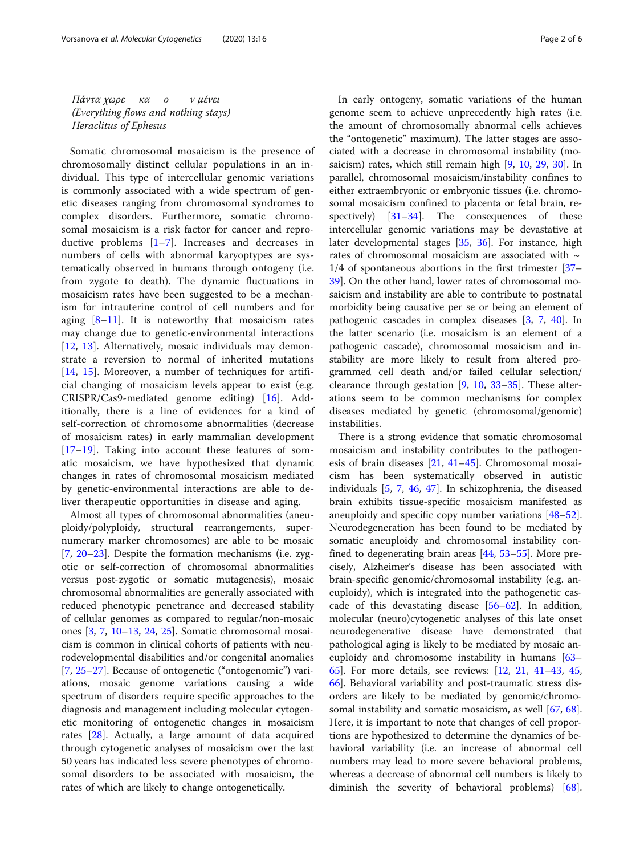Πάντα χωρε κα ο ν μένει (Everything flows and nothing stays) Heraclitus of Ephesus

Somatic chromosomal mosaicism is the presence of chromosomally distinct cellular populations in an individual. This type of intercellular genomic variations is commonly associated with a wide spectrum of genetic diseases ranging from chromosomal syndromes to complex disorders. Furthermore, somatic chromosomal mosaicism is a risk factor for cancer and reproductive problems [[1](#page-3-0)–[7\]](#page-3-0). Increases and decreases in numbers of cells with abnormal karyoptypes are systematically observed in humans through ontogeny (i.e. from zygote to death). The dynamic fluctuations in mosaicism rates have been suggested to be a mechanism for intrauterine control of cell numbers and for aging  $[8-11]$  $[8-11]$  $[8-11]$  $[8-11]$  $[8-11]$ . It is noteworthy that mosaicism rates may change due to genetic-environmental interactions [[12,](#page-4-0) [13](#page-4-0)]. Alternatively, mosaic individuals may demonstrate a reversion to normal of inherited mutations [[14,](#page-4-0) [15\]](#page-4-0). Moreover, a number of techniques for artificial changing of mosaicism levels appear to exist (e.g. CRISPR/Cas9-mediated genome editing) [\[16](#page-4-0)]. Additionally, there is a line of evidences for a kind of self-correction of chromosome abnormalities (decrease of mosaicism rates) in early mammalian development [[17](#page-4-0)–[19\]](#page-4-0). Taking into account these features of somatic mosaicism, we have hypothesized that dynamic changes in rates of chromosomal mosaicism mediated by genetic-environmental interactions are able to deliver therapeutic opportunities in disease and aging.

Almost all types of chromosomal abnormalities (aneuploidy/polyploidy, structural rearrangements, supernumerary marker chromosomes) are able to be mosaic [[7,](#page-3-0) [20](#page-4-0)–[23](#page-4-0)]. Despite the formation mechanisms (i.e. zygotic or self-correction of chromosomal abnormalities versus post-zygotic or somatic mutagenesis), mosaic chromosomal abnormalities are generally associated with reduced phenotypic penetrance and decreased stability of cellular genomes as compared to regular/non-mosaic ones [[3,](#page-3-0) [7](#page-3-0), [10](#page-4-0)–[13](#page-4-0), [24,](#page-4-0) [25\]](#page-4-0). Somatic chromosomal mosaicism is common in clinical cohorts of patients with neurodevelopmental disabilities and/or congenital anomalies [[7,](#page-3-0) [25](#page-4-0)–[27\]](#page-4-0). Because of ontogenetic ("ontogenomic") variations, mosaic genome variations causing a wide spectrum of disorders require specific approaches to the diagnosis and management including molecular cytogenetic monitoring of ontogenetic changes in mosaicism rates [[28\]](#page-4-0). Actually, a large amount of data acquired through cytogenetic analyses of mosaicism over the last 50 years has indicated less severe phenotypes of chromosomal disorders to be associated with mosaicism, the rates of which are likely to change ontogenetically.

In early ontogeny, somatic variations of the human genome seem to achieve unprecedently high rates (i.e. the amount of chromosomally abnormal cells achieves the "ontogenetic" maximum). The latter stages are associated with a decrease in chromosomal instability (mosaicism) rates, which still remain high [\[9](#page-3-0), [10,](#page-4-0) [29](#page-4-0), [30\]](#page-4-0). In parallel, chromosomal mosaicism/instability confines to either extraembryonic or embryonic tissues (i.e. chromosomal mosaicism confined to placenta or fetal brain, re-spectively) [[31](#page-4-0)–[34](#page-4-0)]. The consequences of these intercellular genomic variations may be devastative at later developmental stages [\[35](#page-4-0), [36](#page-4-0)]. For instance, high rates of chromosomal mosaicism are associated with  $\sim$  $1/4$  of spontaneous abortions in the first trimester  $\sqrt{37}$  $\sqrt{37}$  $\sqrt{37}$ – [39\]](#page-4-0). On the other hand, lower rates of chromosomal mosaicism and instability are able to contribute to postnatal morbidity being causative per se or being an element of pathogenic cascades in complex diseases [\[3](#page-3-0), [7](#page-3-0), [40\]](#page-4-0). In the latter scenario (i.e. mosaicism is an element of a pathogenic cascade), chromosomal mosaicism and instability are more likely to result from altered programmed cell death and/or failed cellular selection/ clearance through gestation [[9,](#page-3-0) [10,](#page-4-0) [33](#page-4-0)–[35](#page-4-0)]. These alterations seem to be common mechanisms for complex diseases mediated by genetic (chromosomal/genomic) instabilities.

There is a strong evidence that somatic chromosomal mosaicism and instability contributes to the pathogenesis of brain diseases [[21,](#page-4-0) [41](#page-4-0)–[45](#page-4-0)]. Chromosomal mosaicism has been systematically observed in autistic individuals [[5,](#page-3-0) [7,](#page-3-0) [46,](#page-4-0) [47\]](#page-4-0). In schizophrenia, the diseased brain exhibits tissue-specific mosaicism manifested as aneuploidy and specific copy number variations [[48](#page-4-0)–[52](#page-4-0)]. Neurodegeneration has been found to be mediated by somatic aneuploidy and chromosomal instability confined to degenerating brain areas [[44,](#page-4-0) [53](#page-4-0)–[55\]](#page-4-0). More precisely, Alzheimer's disease has been associated with brain-specific genomic/chromosomal instability (e.g. aneuploidy), which is integrated into the pathogenetic cascade of this devastating disease [[56](#page-5-0)–[62](#page-5-0)]. In addition, molecular (neuro)cytogenetic analyses of this late onset neurodegenerative disease have demonstrated that pathological aging is likely to be mediated by mosaic aneuploidy and chromosome instability in humans  $[63 [63 [63-$ [65\]](#page-5-0). For more details, see reviews: [\[12](#page-4-0), [21](#page-4-0), [41](#page-4-0)–[43,](#page-4-0) [45](#page-4-0), [66\]](#page-5-0). Behavioral variability and post-traumatic stress disorders are likely to be mediated by genomic/chromosomal instability and somatic mosaicism, as well [[67](#page-5-0), [68](#page-5-0)]. Here, it is important to note that changes of cell proportions are hypothesized to determine the dynamics of behavioral variability (i.e. an increase of abnormal cell numbers may lead to more severe behavioral problems, whereas a decrease of abnormal cell numbers is likely to diminish the severity of behavioral problems) [\[68](#page-5-0)].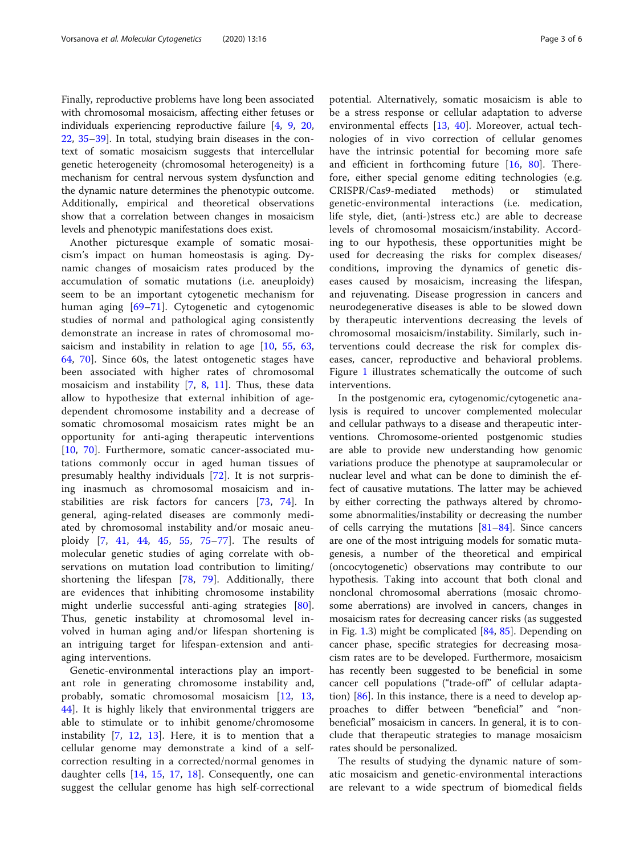Finally, reproductive problems have long been associated with chromosomal mosaicism, affecting either fetuses or individuals experiencing reproductive failure [\[4,](#page-3-0) [9](#page-3-0), [20](#page-4-0), [22,](#page-4-0) [35](#page-4-0)–[39](#page-4-0)]. In total, studying brain diseases in the context of somatic mosaicism suggests that intercellular genetic heterogeneity (chromosomal heterogeneity) is a mechanism for central nervous system dysfunction and the dynamic nature determines the phenotypic outcome. Additionally, empirical and theoretical observations show that a correlation between changes in mosaicism levels and phenotypic manifestations does exist.

Another picturesque example of somatic mosaicism's impact on human homeostasis is aging. Dynamic changes of mosaicism rates produced by the accumulation of somatic mutations (i.e. aneuploidy) seem to be an important cytogenetic mechanism for human aging [\[69](#page-5-0)–[71](#page-5-0)]. Cytogenetic and cytogenomic studies of normal and pathological aging consistently demonstrate an increase in rates of chromosomal mo-saicism and instability in relation to age [[10,](#page-4-0) [55](#page-4-0), [63](#page-5-0), [64,](#page-5-0) [70\]](#page-5-0). Since 60s, the latest ontogenetic stages have been associated with higher rates of chromosomal mosaicism and instability [[7](#page-3-0), [8](#page-3-0), [11](#page-4-0)]. Thus, these data allow to hypothesize that external inhibition of agedependent chromosome instability and a decrease of somatic chromosomal mosaicism rates might be an opportunity for anti-aging therapeutic interventions [[10,](#page-4-0) [70](#page-5-0)]. Furthermore, somatic cancer-associated mutations commonly occur in aged human tissues of presumably healthy individuals [\[72](#page-5-0)]. It is not surprising inasmuch as chromosomal mosaicism and instabilities are risk factors for cancers [[73](#page-5-0), [74](#page-5-0)]. In general, aging-related diseases are commonly mediated by chromosomal instability and/or mosaic aneuploidy [[7,](#page-3-0) [41](#page-4-0), [44,](#page-4-0) [45](#page-4-0), [55,](#page-4-0) [75](#page-5-0)–[77](#page-5-0)]. The results of molecular genetic studies of aging correlate with observations on mutation load contribution to limiting/ shortening the lifespan [[78,](#page-5-0) [79](#page-5-0)]. Additionally, there are evidences that inhibiting chromosome instability might underlie successful anti-aging strategies [\[80](#page-5-0)]. Thus, genetic instability at chromosomal level involved in human aging and/or lifespan shortening is an intriguing target for lifespan-extension and antiaging interventions.

Genetic-environmental interactions play an important role in generating chromosome instability and, probably, somatic chromosomal mosaicism [\[12](#page-4-0), [13](#page-4-0), [44\]](#page-4-0). It is highly likely that environmental triggers are able to stimulate or to inhibit genome/chromosome instability [\[7](#page-3-0), [12,](#page-4-0) [13\]](#page-4-0). Here, it is to mention that a cellular genome may demonstrate a kind of a selfcorrection resulting in a corrected/normal genomes in daughter cells [[14,](#page-4-0) [15](#page-4-0), [17,](#page-4-0) [18](#page-4-0)]. Consequently, one can suggest the cellular genome has high self-correctional

potential. Alternatively, somatic mosaicism is able to be a stress response or cellular adaptation to adverse environmental effects [[13,](#page-4-0) [40\]](#page-4-0). Moreover, actual technologies of in vivo correction of cellular genomes have the intrinsic potential for becoming more safe and efficient in forthcoming future [[16,](#page-4-0) [80\]](#page-5-0). Therefore, either special genome editing technologies (e.g. CRISPR/Cas9-mediated methods) or stimulated genetic-environmental interactions (i.e. medication, life style, diet, (anti-)stress etc.) are able to decrease levels of chromosomal mosaicism/instability. According to our hypothesis, these opportunities might be used for decreasing the risks for complex diseases/ conditions, improving the dynamics of genetic diseases caused by mosaicism, increasing the lifespan, and rejuvenating. Disease progression in cancers and neurodegenerative diseases is able to be slowed down by therapeutic interventions decreasing the levels of chromosomal mosaicism/instability. Similarly, such interventions could decrease the risk for complex diseases, cancer, reproductive and behavioral problems. Figure [1](#page-3-0) illustrates schematically the outcome of such interventions.

In the postgenomic era, cytogenomic/cytogenetic analysis is required to uncover complemented molecular and cellular pathways to a disease and therapeutic interventions. Chromosome-oriented postgenomic studies are able to provide new understanding how genomic variations produce the phenotype at saupramolecular or nuclear level and what can be done to diminish the effect of causative mutations. The latter may be achieved by either correcting the pathways altered by chromosome abnormalities/instability or decreasing the number of cells carrying the mutations  $[81-84]$  $[81-84]$  $[81-84]$  $[81-84]$  $[81-84]$ . Since cancers are one of the most intriguing models for somatic mutagenesis, a number of the theoretical and empirical (oncocytogenetic) observations may contribute to our hypothesis. Taking into account that both clonal and nonclonal chromosomal aberrations (mosaic chromosome aberrations) are involved in cancers, changes in mosaicism rates for decreasing cancer risks (as suggested in Fig. [1](#page-3-0).3) might be complicated  $[84, 85]$  $[84, 85]$  $[84, 85]$  $[84, 85]$ . Depending on cancer phase, specific strategies for decreasing mosacism rates are to be developed. Furthermore, mosaicism has recently been suggested to be beneficial in some cancer cell populations ("trade-off" of cellular adaptation)  $[86]$  $[86]$ . In this instance, there is a need to develop approaches to differ between "beneficial" and "nonbeneficial" mosaicism in cancers. In general, it is to conclude that therapeutic strategies to manage mosaicism rates should be personalized.

The results of studying the dynamic nature of somatic mosaicism and genetic-environmental interactions are relevant to a wide spectrum of biomedical fields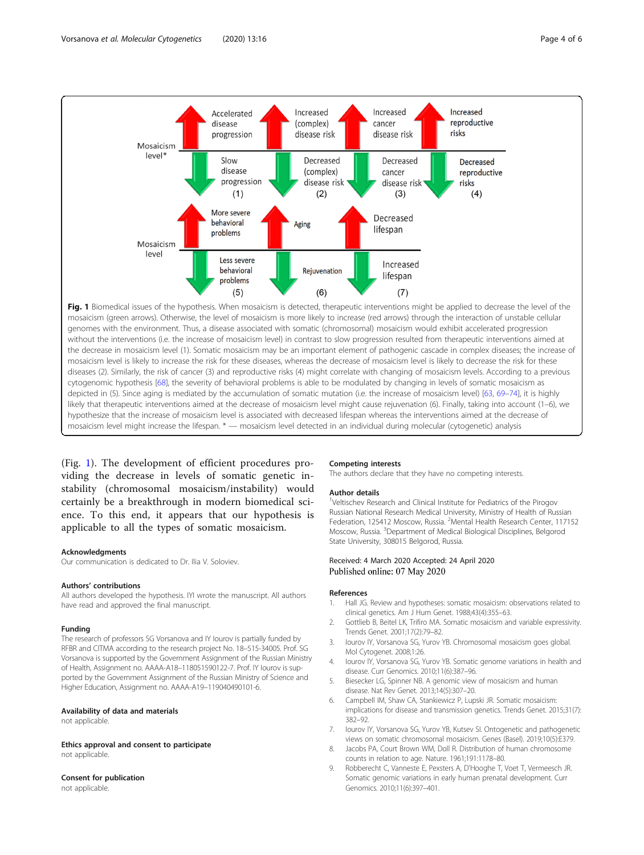<span id="page-3-0"></span>

Fig. 1 Biomedical issues of the hypothesis. When mosaicism is detected, therapeutic interventions might be applied to decrease the level of the mosaicism (green arrows). Otherwise, the level of mosaicism is more likely to increase (red arrows) through the interaction of unstable cellular genomes with the environment. Thus, a disease associated with somatic (chromosomal) mosaicism would exhibit accelerated progression without the interventions (i.e. the increase of mosaicism level) in contrast to slow progression resulted from therapeutic interventions aimed at the decrease in mosaicism level (1). Somatic mosaicism may be an important element of pathogenic cascade in complex diseases; the increase of mosaicism level is likely to increase the risk for these diseases, whereas the decrease of mosaicism level is likely to decrease the risk for these diseases (2). Similarly, the risk of cancer (3) and reproductive risks (4) might correlate with changing of mosaicism levels. According to a previous cytogenomic hypothesis [[68](#page-5-0)], the severity of behavioral problems is able to be modulated by changing in levels of somatic mosaicism as depicted in (5). Since aging is mediated by the accumulation of somatic mutation (i.e. the increase of mosaicism level) [\[63,](#page-5-0) [69](#page-5-0)–[74\]](#page-5-0), it is highly likely that therapeutic interventions aimed at the decrease of mosaicism level might cause rejuvenation (6). Finally, taking into account (1–6), we hypothesize that the increase of mosaicism level is associated with decreased lifespan whereas the interventions aimed at the decrease of mosaicism level might increase the lifespan. \* — mosaicism level detected in an individual during molecular (cytogenetic) analysis

(Fig. 1). The development of efficient procedures providing the decrease in levels of somatic genetic instability (chromosomal mosaicism/instability) would certainly be a breakthrough in modern biomedical science. To this end, it appears that our hypothesis is applicable to all the types of somatic mosaicism.

## Acknowledgments

Our communication is dedicated to Dr. Ilia V. Soloviev.

## Authors' contributions

All authors developed the hypothesis. IYI wrote the manuscript. All authors have read and approved the final manuscript.

## Funding

The research of professors SG Vorsanova and IY Iourov is partially funded by RFBR and CITMA according to the research project No. 18–515-34005. Prof. SG Vorsanova is supported by the Government Assignment of the Russian Ministry of Health, Assignment no. AAAA-A18–118051590122-7. Prof. IY Iourov is supported by the Government Assignment of the Russian Ministry of Science and Higher Education, Assignment no. AAAA-A19–119040490101-6.

## Availability of data and materials

not applicable.

Ethics approval and consent to participate not applicable.

## Consent for publication

not applicable.

## Competing interests

The authors declare that they have no competing interests.

### Author details

<sup>1</sup>Veltischev Research and Clinical Institute for Pediatrics of the Pirogov Russian National Research Medical University, Ministry of Health of Russian Federation, 125412 Moscow, Russia. <sup>2</sup>Mental Health Research Center, 117152 Moscow, Russia. <sup>3</sup> Department of Medical Biological Disciplines, Belgorod State University, 308015 Belgorod, Russia.

## Received: 4 March 2020 Accepted: 24 April 2020 Published online: 07 May 2020

## References

- 1. Hall JG. Review and hypotheses: somatic mosaicism: observations related to clinical genetics. Am J Hum Genet. 1988;43(4):355–63.
- 2. Gottlieb B, Beitel LK, Trifiro MA. Somatic mosaicism and variable expressivity. Trends Genet. 2001;17(2):79–82.
- 3. Iourov IY, Vorsanova SG, Yurov YB. Chromosomal mosaicism goes global. Mol Cytogenet. 2008;1:26.
- 4. Iourov IY, Vorsanova SG, Yurov YB. Somatic genome variations in health and disease. Curr Genomics. 2010;11(6):387–96.
- 5. Biesecker LG, Spinner NB. A genomic view of mosaicism and human disease. Nat Rev Genet. 2013;14(5):307–20.
- 6. Campbell IM, Shaw CA, Stankiewicz P, Lupski JR. Somatic mosaicism: implications for disease and transmission genetics. Trends Genet. 2015;31(7): 382–92.
- 7. Iourov IY, Vorsanova SG, Yurov YB, Kutsev SI. Ontogenetic and pathogenetic views on somatic chromosomal mosaicism. Genes (Basel). 2019;10(5):E379.
- 8. Jacobs PA, Court Brown WM, Doll R. Distribution of human chromosome counts in relation to age. Nature. 1961;191:1178–80.
- 9. Robberecht C, Vanneste E, Pexsters A, D'Hooghe T, Voet T, Vermeesch JR. Somatic genomic variations in early human prenatal development. Curr Genomics. 2010;11(6):397–401.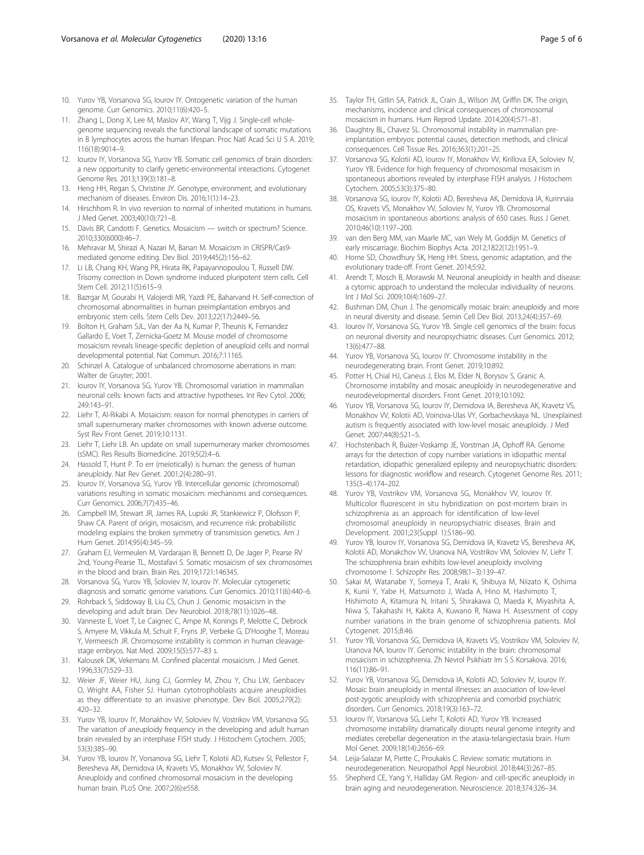- <span id="page-4-0"></span>10. Yurov YB, Vorsanova SG, Iourov IY. Ontogenetic variation of the human genome. Curr Genomics. 2010;11(6):420–5.
- 11. Zhang L, Dong X, Lee M, Maslov AY, Wang T, Vijg J. Single-cell wholegenome sequencing reveals the functional landscape of somatic mutations in B lymphocytes across the human lifespan. Proc Natl Acad Sci U S A. 2019; 116(18):9014–9.
- 12. Iourov IY, Vorsanova SG, Yurov YB. Somatic cell genomics of brain disorders: a new opportunity to clarify genetic-environmental interactions. Cytogenet Genome Res. 2013;139(3):181–8.
- 13. Heng HH, Regan S, Christine JY. Genotype, environment, and evolutionary mechanism of diseases. Environ Dis. 2016;1(1):14–23.
- 14. Hirschhorn R. In vivo reversion to normal of inherited mutations in humans. J Med Genet. 2003;40(10):721–8.
- 15. Davis BR, Candotti F. Genetics. Mosaicism switch or spectrum? Science. 2010;330(6000):46–7.
- 16. Mehravar M, Shirazi A, Nazari M, Banan M. Mosaicism in CRISPR/Cas9 mediated genome editing. Dev Biol. 2019;445(2):156–62.
- 17. Li LB, Chang KH, Wang PR, Hirata RK, Papayannopoulou T, Russell DW. Trisomy correction in Down syndrome induced pluripotent stem cells. Cell Stem Cell. 2012;11(5):615–9.
- 18. Bazrgar M, Gourabi H, Valojerdi MR, Yazdi PE, Baharvand H. Self-correction of chromosomal abnormalities in human preimplantation embryos and embryonic stem cells. Stem Cells Dev. 2013;22(17):2449–56.
- 19. Bolton H, Graham SJL, Van der Aa N, Kumar P, Theunis K, Fernandez Gallardo E, Voet T, Zernicka-Goetz M. Mouse model of chromosome mosaicism reveals lineage-specific depletion of aneuploid cells and normal developmental potential. Nat Commun. 2016;7:11165.
- 20. Schinzel A. Catalogue of unbalanced chromosome aberrations in man: Walter de Gruyter; 2001.
- 21. Iourov IY, Vorsanova SG, Yurov YB. Chromosomal variation in mammalian neuronal cells: known facts and attractive hypotheses. Int Rev Cytol. 2006; 249:143–91.
- 22. Liehr T, Al-Rikabi A. Mosaicism: reason for normal phenotypes in carriers of small supernumerary marker chromosomes with known adverse outcome. Syst Rev Front Genet. 2019;10:1131.
- 23. Liehr T, Liehr LB. An update on small supernumerary marker chromosomes (sSMC). Res Results Biomedicine. 2019;5(2):4–6.
- 24. Hassold T, Hunt P. To err (meiotically) is human: the genesis of human aneuploidy. Nat Rev Genet. 2001;2(4):280–91.
- 25. Iourov IY, Vorsanova SG, Yurov YB. Intercellular genomic (chromosomal) variations resulting in somatic mosaicism: mechanisms and consequences. Curr Genomics. 2006;7(7):435–46.
- 26. Campbell IM, Stewart JR, James RA, Lupski JR, Stankiewicz P, Olofsson P, Shaw CA. Parent of origin, mosaicism, and recurrence risk: probabilistic modeling explains the broken symmetry of transmission genetics. Am J Hum Genet. 2014;95(4):345–59.
- 27. Graham EJ, Vermeulen M, Vardarajan B, Bennett D, De Jager P, Pearse RV 2nd, Young-Pearse TL, Mostafavi S. Somatic mosaicism of sex chromosomes in the blood and brain. Brain Res. 2019;1721:146345.
- 28. Vorsanova SG, Yurov YB, Soloviev IV, Iourov IY. Molecular cytogenetic diagnosis and somatic genome variations. Curr Genomics. 2010;11(6):440–6.
- 29. Rohrback S, Siddoway B, Liu CS, Chun J. Genomic mosaicism in the developing and adult brain. Dev Neurobiol. 2018;78(11):1026–48.
- 30. Vanneste E, Voet T, Le Caignec C, Ampe M, Konings P, Melotte C, Debrock S, Amyere M, Vikkula M, Schuit F, Fryns JP, Verbeke G, D'Hooghe T, Moreau Y, Vermeesch JR. Chromosome instability is common in human cleavagestage embryos. Nat Med. 2009;15(5):577–83 s.
- 31. Kalousek DK, Vekemans M. Confined placental mosaicism. J Med Genet. 1996;33(7):529–33.
- 32. Weier JF, Weier HU, Jung CJ, Gormley M, Zhou Y, Chu LW, Genbacev O, Wright AA, Fisher SJ. Human cytotrophoblasts acquire aneuploidies as they differentiate to an invasive phenotype. Dev Biol. 2005;279(2): 420–32.
- 33. Yurov YB, Iourov IY, Monakhov VV, Soloviev IV, Vostrikov VM, Vorsanova SG. The variation of aneuploidy frequency in the developing and adult human brain revealed by an interphase FISH study. J Histochem Cytochem. 2005; 53(3):385–90.
- 34. Yurov YB, Iourov IY, Vorsanova SG, Liehr T, Kolotii AD, Kutsev SI, Pellestor F, Beresheva AK, Demidova IA, Kravets VS, Monakhov VV, Soloviev IV. Aneuploidy and confined chromosomal mosaicism in the developing human brain. PLoS One. 2007;2(6):e558.
- 35. Taylor TH, Gitlin SA, Patrick JL, Crain JL, Wilson JM, Griffin DK. The origin, mechanisms, incidence and clinical consequences of chromosomal mosaicism in humans. Hum Reprod Update. 2014;20(4):571–81.
- 36. Daughtry BL, Chavez SL. Chromosomal instability in mammalian preimplantation embryos: potential causes, detection methods, and clinical consequences. Cell Tissue Res. 2016;363(1):201–25.
- 37. Vorsanova SG, Kolotii AD, Iourov IY, Monakhov VV, Kirillova EA, Soloviev IV, Yurov YB. Evidence for high frequency of chromosomal mosaicism in spontaneous abortions revealed by interphase FISH analysis. J Histochem Cytochem. 2005;53(3):375–80.
- 38. Vorsanova SG, Iourov IY, Kolotii AD, Beresheva AK, Demidova IA, Kurinnaia OS, Kravets VS, Monakhov VV, Soloviev IV, Yurov YB. Chromosomal mosaicism in spontaneous abortions: analysis of 650 cases. Russ J Genet. 2010;46(10):1197–200.
- 39. van den Berg MM, van Maarle MC, van Wely M, Goddijn M. Genetics of early miscarriage. Biochim Biophys Acta. 2012;1822(12):1951–9.
- 40. Horne SD, Chowdhury SK, Heng HH. Stress, genomic adaptation, and the evolutionary trade-off. Front Genet. 2014;5:92.
- 41. Arendt T, Mosch B, Morawski M. Neuronal aneuploidy in health and disease: a cytomic approach to understand the molecular individuality of neurons. Int J Mol Sci. 2009;10(4):1609–27.
- 42. Bushman DM, Chun J. The genomically mosaic brain: aneuploidy and more in neural diversity and disease. Semin Cell Dev Biol. 2013;24(4):357–69.
- 43. Iourov IY, Vorsanova SG, Yurov YB. Single cell genomics of the brain: focus on neuronal diversity and neuropsychiatric diseases. Curr Genomics. 2012; 13(6):477–88.
- 44. Yurov YB, Vorsanova SG, Iourov IY. Chromosome instability in the neurodegenerating brain. Front Genet. 2019;10:892.
- 45. Potter H, Chial HJ, Caneus J, Elos M, Elder N, Borysov S, Granic A. Chromosome instability and mosaic aneuploidy in neurodegenerative and neurodevelopmental disorders. Front Genet. 2019;10:1092.
- 46. Yurov YB, Vorsanova SG, Iourov IY, Demidova IA, Beresheva AK, Kravetz VS, Monakhov VV, Kolotii AD, Voinova-Ulas VY, Gorbachevskaya NL. Unexplained autism is frequently associated with low-level mosaic aneuploidy. J Med Genet. 2007;44(8):521–5.
- 47. Hochstenbach R, Buizer-Voskamp JE, Vorstman JA, Ophoff RA. Genome arrays for the detection of copy number variations in idiopathic mental retardation, idiopathic generalized epilepsy and neuropsychiatric disorders: lessons for diagnostic workflow and research. Cytogenet Genome Res. 2011; 135(3–4):174–202.
- 48. Yurov YB, Vostrikov VM, Vorsanova SG, Monakhov VV, Iourov IY. Multicolor fluorescent in situ hybridization on post-mortem brain in schizophrenia as an approach for identification of low-level chromosomal aneuploidy in neuropsychiatric diseases. Brain and Development. 2001;23(Suppl 1):S186–90.
- 49. Yurov YB, Iourov IY, Vorsanova SG, Demidova IA, Kravetz VS, Beresheva AK, Kolotii AD, Monakchov VV, Uranova NA, Vostrikov VM, Soloviev IV, Liehr T. The schizophrenia brain exhibits low-level aneuploidy involving chromosome 1. Schizophr Res. 2008;98(1–3):139–47.
- 50. Sakai M, Watanabe Y, Someya T, Araki K, Shibuya M, Niizato K, Oshima K, Kunii Y, Yabe H, Matsumoto J, Wada A, Hino M, Hashimoto T, Hishimoto A, Kitamura N, Iritani S, Shirakawa O, Maeda K, Miyashita A, Niwa S, Takahashi H, Kakita A, Kuwano R, Nawa H. Assessment of copy number variations in the brain genome of schizophrenia patients. Mol Cytogenet. 2015;8:46.
- 51. Yurov YB, Vorsanova SG, Demidova IA, Kravets VS, Vostrikov VM, Soloviev IV, Uranova NA, Iourov IY. Genomic instability in the brain: chromosomal mosaicism in schizophrenia. Zh Nevrol Psikhiatr Im S S Korsakova. 2016; 116(11):86–91.
- 52. Yurov YB, Vorsanova SG, Demidova IA, Kolotii AD, Soloviev IV, Iourov IY. Mosaic brain aneuploidy in mental illnesses: an association of low-level post-zygotic aneuploidy with schizophrenia and comorbid psychiatric disorders. Curr Genomics. 2018;19(3):163–72.
- 53. Iourov IY, Vorsanova SG, Liehr T, Kolotii AD, Yurov YB. Increased chromosome instability dramatically disrupts neural genome integrity and mediates cerebellar degeneration in the ataxia-telangiectasia brain. Hum Mol Genet. 2009;18(14):2656–69.
- 54. Leija-Salazar M, Piette C, Proukakis C. Review: somatic mutations in neurodegeneration. Neuropathol Appl Neurobiol. 2018;44(3):267–85.
- 55. Shepherd CE, Yang Y, Halliday GM. Region- and cell-specific aneuploidy in brain aging and neurodegeneration. Neuroscience. 2018;374:326–34.